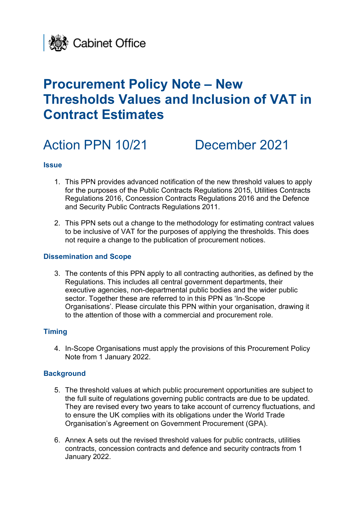

# **Procurement Policy Note – New Thresholds Values and Inclusion of VAT in Contract Estimates**

# Action PPN 10/21 December 2021

### **Issue**

- 1. This PPN provides advanced notification of the new threshold values to apply for the purposes of the Public Contracts Regulations 2015, Utilities Contracts Regulations 2016, Concession Contracts Regulations 2016 and the Defence and Security Public Contracts Regulations 2011.
- 2. This PPN sets out a change to the methodology for estimating contract values to be inclusive of VAT for the purposes of applying the thresholds. This does not require a change to the publication of procurement notices.

#### **Dissemination and Scope**

3. The contents of this PPN apply to all contracting authorities, as defined by the Regulations. This includes all central government departments, their executive agencies, non-departmental public bodies and the wider public sector. Together these are referred to in this PPN as 'In-Scope Organisations'. Please circulate this PPN within your organisation, drawing it to the attention of those with a commercial and procurement role.

### **Timing**

4. In-Scope Organisations must apply the provisions of this Procurement Policy Note from 1 January 2022.

### **Background**

- 5. The threshold values at which public procurement opportunities are subject to the full suite of regulations governing public contracts are due to be updated. They are revised every two years to take account of currency fluctuations, and to ensure the UK complies with its obligations under the World Trade Organisation's Agreement on Government Procurement (GPA).
- 6. Annex A sets out the revised threshold values for public contracts, utilities contracts, concession contracts and defence and security contracts from 1 January 2022.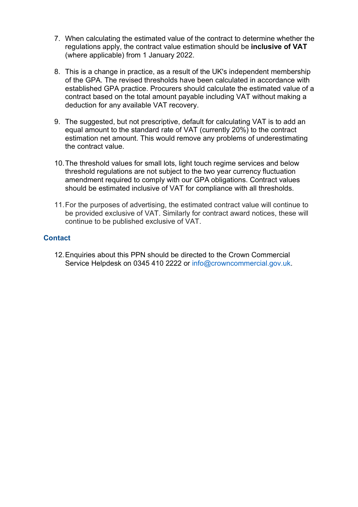- 7. When calculating the estimated value of the contract to determine whether the regulations apply, the contract value estimation should be **inclusive of VAT** (where applicable) from 1 January 2022.
- 8. This is a change in practice, as a result of the UK's independent membership of the GPA. The revised thresholds have been calculated in accordance with established GPA practice. Procurers should calculate the estimated value of a contract based on the total amount payable including VAT without making a deduction for any available VAT recovery.
- 9. The suggested, but not prescriptive, default for calculating VAT is to add an equal amount to the standard rate of VAT (currently 20%) to the contract estimation net amount. This would remove any problems of underestimating the contract value.
- 10.The threshold values for small lots, light touch regime services and below threshold regulations are not subject to the two year currency fluctuation amendment required to comply with our GPA obligations. Contract values should be estimated inclusive of VAT for compliance with all thresholds.
- 11.For the purposes of advertising, the estimated contract value will continue to be provided exclusive of VAT. Similarly for contract award notices, these will continue to be published exclusive of VAT.

# **Contact**

12.Enquiries about this PPN should be directed to the Crown Commercial Service Helpdesk on 0345 410 2222 or info@crowncommercial.gov.uk.